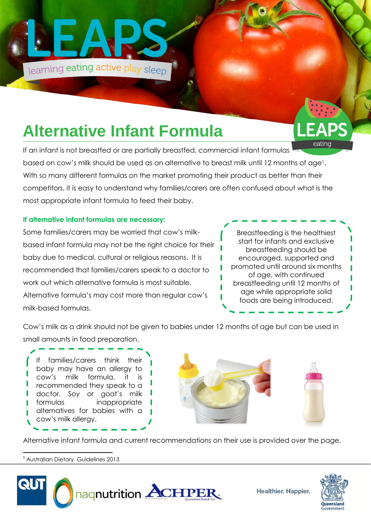

# **Alternative Infant Formula**

eating If an infant is not breastfed or are partially breastfed, commercial infant formulas based on cow's milk should be used as an alternative to breast milk until 12 months of age1. With so many different formulas on the market promoting their product as better than their competitors, it is easy to understand why families/carers are often confused about what is the most appropriate infant formula to feed their baby.

### **If alternative infant formulas are necessary:**

Some families/carers may be worried that cow's milkbased infant formula may not be the right choice for their baby due to medical, cultural or religious reasons. It is recommended that families/carers speak to a doctor to work out which alternative formula is most suitable. Alternative formula's may cost more than regular cow's milk-based formulas.



Cow's milk as a drink should not be given to babies under 12 months of age but can be used in small amounts in food preparation.

#### If families/carers think their baby may have an allergy to cow's milk formula, it is recommended they speak to a doctor. Soy or goat's milk formulas inappropriate п alternatives for babies with a cow's milk allergy.





Alternative infant formula and current recommendations on their use is provided over the page.

 $\overline{a}$ <sup>1</sup> Australian Dietary Guidelines 2013